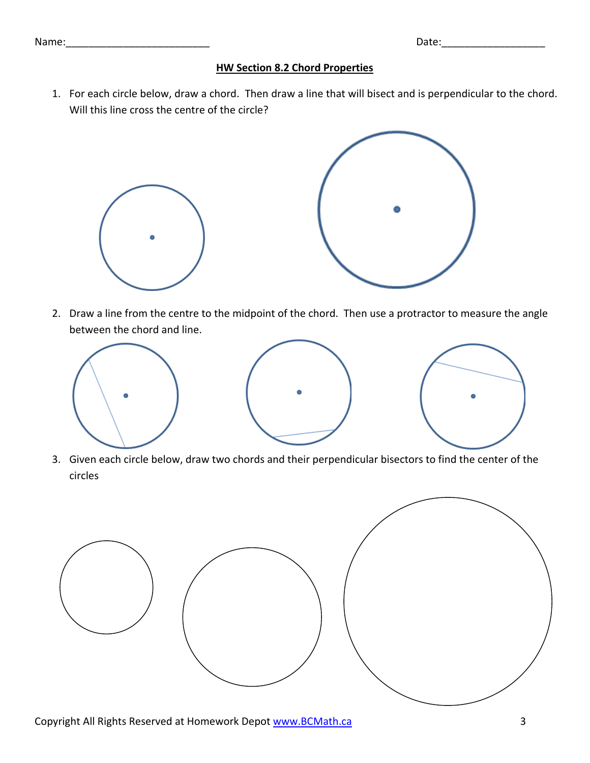## Name: where the contract of the contract of the contract of the contract of the Date:

## **HW Section 8.2 Chord Properties**

1. For each circle below, draw a chord. Then draw a line that will bisect and is perpendicular to the chord. Will this line cross the centre of the circle?



2. Draw a line from the centre to the midpoint of the chord. Then use a protractor to measure the angle between the chord and line.



3. Given each circle below, draw two chords and their perpendicular bisectors to find the center of the circles

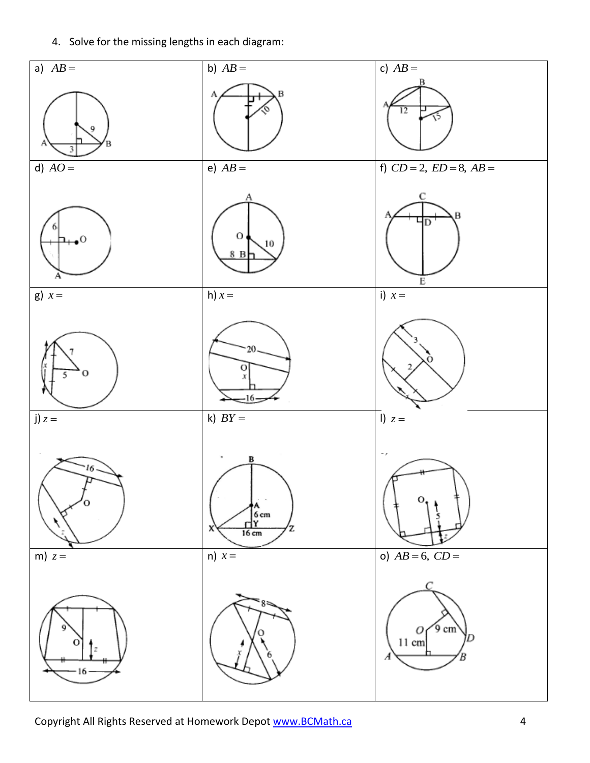4. Solve for the missing lengths in each diagram: